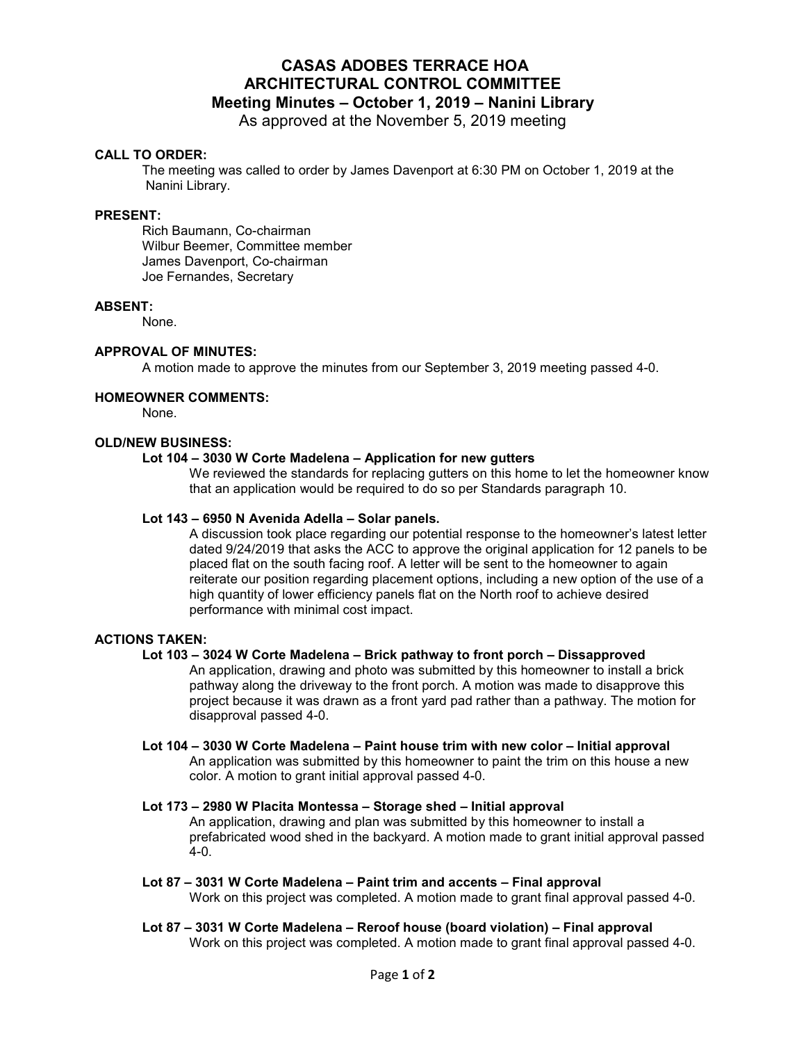# **CASAS ADOBES TERRACE HOA ARCHITECTURAL CONTROL COMMITTEE Meeting Minutes – October 1, 2019 – Nanini Library**

As approved at the November 5, 2019 meeting

# **CALL TO ORDER:**

The meeting was called to order by James Davenport at 6:30 PM on October 1, 2019 at the Nanini Library.

## **PRESENT:**

Rich Baumann, Co-chairman Wilbur Beemer, Committee member James Davenport, Co-chairman Joe Fernandes, Secretary

## **ABSENT:**

None.

## **APPROVAL OF MINUTES:**

A motion made to approve the minutes from our September 3, 2019 meeting passed 4-0.

## **HOMEOWNER COMMENTS:**

None.

## **OLD/NEW BUSINESS:**

## **Lot 104 – 3030 W Corte Madelena – Application for new gutters**

We reviewed the standards for replacing gutters on this home to let the homeowner know that an application would be required to do so per Standards paragraph 10.

## **Lot 143 – 6950 N Avenida Adella – Solar panels.**

A discussion took place regarding our potential response to the homeowner's latest letter dated 9/24/2019 that asks the ACC to approve the original application for 12 panels to be placed flat on the south facing roof. A letter will be sent to the homeowner to again reiterate our position regarding placement options, including a new option of the use of a high quantity of lower efficiency panels flat on the North roof to achieve desired performance with minimal cost impact.

#### **ACTIONS TAKEN:**

## **Lot 103 – 3024 W Corte Madelena – Brick pathway to front porch – Dissapproved**

An application, drawing and photo was submitted by this homeowner to install a brick pathway along the driveway to the front porch. A motion was made to disapprove this project because it was drawn as a front yard pad rather than a pathway. The motion for disapproval passed 4-0.

# **Lot 104 – 3030 W Corte Madelena – Paint house trim with new color – Initial approval**  An application was submitted by this homeowner to paint the trim on this house a new

color. A motion to grant initial approval passed 4-0.

## **Lot 173 – 2980 W Placita Montessa – Storage shed – Initial approval**

An application, drawing and plan was submitted by this homeowner to install a prefabricated wood shed in the backyard. A motion made to grant initial approval passed  $4 - 0$ .

#### **Lot 87 – 3031 W Corte Madelena – Paint trim and accents – Final approval**

Work on this project was completed. A motion made to grant final approval passed 4-0.

#### **Lot 87 – 3031 W Corte Madelena – Reroof house (board violation) – Final approval**

Work on this project was completed. A motion made to grant final approval passed 4-0.